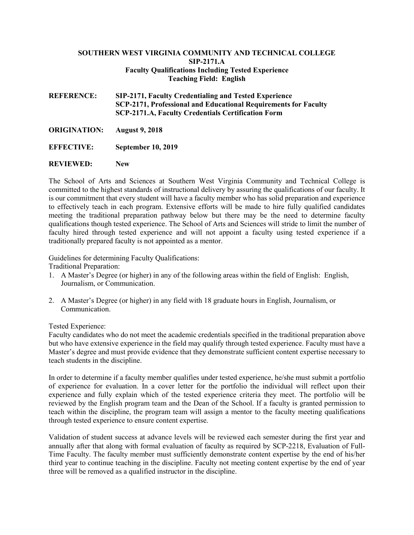## **SOUTHERN WEST VIRGINIA COMMUNITY AND TECHNICAL COLLEGE SIP-2171.A Faculty Qualifications Including Tested Experience Teaching Field: English**

**REFERENCE: SIP-2171, Faculty Credentialing and Tested Experience SCP-2171, Professional and Educational Requirements for Faculty SCP-2171.A, Faculty Credentials Certification Form**

**ORIGINATION: August 9, 2018** 

**EFFECTIVE: September 10, 2019**

## **REVIEWED: New**

The School of Arts and Sciences at Southern West Virginia Community and Technical College is committed to the highest standards of instructional delivery by assuring the qualifications of our faculty. It is our commitment that every student will have a faculty member who has solid preparation and experience to effectively teach in each program. Extensive efforts will be made to hire fully qualified candidates meeting the traditional preparation pathway below but there may be the need to determine faculty qualifications though tested experience. The School of Arts and Sciences will stride to limit the number of faculty hired through tested experience and will not appoint a faculty using tested experience if a traditionally prepared faculty is not appointed as a mentor.

Guidelines for determining Faculty Qualifications:

Traditional Preparation:

- 1. A Master's Degree (or higher) in any of the following areas within the field of English: English, Journalism, or Communication.
- 2. A Master's Degree (or higher) in any field with 18 graduate hours in English, Journalism, or Communication.

Tested Experience:

Faculty candidates who do not meet the academic credentials specified in the traditional preparation above but who have extensive experience in the field may qualify through tested experience. Faculty must have a Master's degree and must provide evidence that they demonstrate sufficient content expertise necessary to teach students in the discipline.

In order to determine if a faculty member qualifies under tested experience, he/she must submit a portfolio of experience for evaluation. In a cover letter for the portfolio the individual will reflect upon their experience and fully explain which of the tested experience criteria they meet. The portfolio will be reviewed by the English program team and the Dean of the School. If a faculty is granted permission to teach within the discipline, the program team will assign a mentor to the faculty meeting qualifications through tested experience to ensure content expertise.

Validation of student success at advance levels will be reviewed each semester during the first year and annually after that along with formal evaluation of faculty as required by SCP-2218, Evaluation of Full-Time Faculty. The faculty member must sufficiently demonstrate content expertise by the end of his/her third year to continue teaching in the discipline. Faculty not meeting content expertise by the end of year three will be removed as a qualified instructor in the discipline.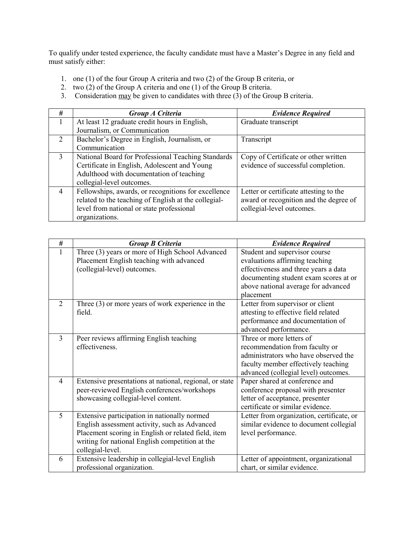To qualify under tested experience, the faculty candidate must have a Master's Degree in any field and must satisfy either:

- 1. one (1) of the four Group A criteria and two (2) of the Group B criteria, or
- 2. two  $(2)$  of the Group A criteria and one  $(1)$  of the Group B criteria.
- 3. Consideration  $\overline{\text{may}}$  be given to candidates with three (3) of the Group B criteria.

| #                           | Group A Criteria                                     | <b>Evidence Required</b>               |  |
|-----------------------------|------------------------------------------------------|----------------------------------------|--|
|                             | At least 12 graduate credit hours in English,        | Graduate transcript                    |  |
|                             | Journalism, or Communication                         |                                        |  |
| $\mathcal{D}_{\mathcal{L}}$ | Bachelor's Degree in English, Journalism, or         | Transcript                             |  |
|                             | Communication                                        |                                        |  |
| $\mathcal{E}$               | National Board for Professional Teaching Standards   | Copy of Certificate or other written   |  |
|                             | Certificate in English, Adolescent and Young         | evidence of successful completion.     |  |
|                             | Adulthood with documentation of teaching             |                                        |  |
|                             | collegial-level outcomes.                            |                                        |  |
| $\overline{4}$              | Fellowships, awards, or recognitions for excellence  | Letter or certificate attesting to the |  |
|                             | related to the teaching of English at the collegial- | award or recognition and the degree of |  |
|                             | level from national or state professional            | collegial-level outcomes.              |  |
|                             | organizations.                                       |                                        |  |

| #              | <b>Group B Criteria</b>                                 | <b>Evidence Required</b>                  |
|----------------|---------------------------------------------------------|-------------------------------------------|
| 1              | Three (3) years or more of High School Advanced         | Student and supervisor course             |
|                | Placement English teaching with advanced                | evaluations affirming teaching            |
|                | (collegial-level) outcomes.                             | effectiveness and three years a data      |
|                |                                                         | documenting student exam scores at or     |
|                |                                                         | above national average for advanced       |
|                |                                                         | placement                                 |
| 2              | Three $(3)$ or more years of work experience in the     | Letter from supervisor or client          |
|                | field.                                                  | attesting to effective field related      |
|                |                                                         | performance and documentation of          |
|                |                                                         | advanced performance.                     |
| 3              | Peer reviews affirming English teaching                 | Three or more letters of                  |
|                | effectiveness.                                          | recommendation from faculty or            |
|                |                                                         | administrators who have observed the      |
|                |                                                         | faculty member effectively teaching       |
|                |                                                         | advanced (collegial level) outcomes.      |
| $\overline{4}$ | Extensive presentations at national, regional, or state | Paper shared at conference and            |
|                | peer-reviewed English conferences/workshops             | conference proposal with presenter        |
|                | showcasing collegial-level content.                     | letter of acceptance, presenter           |
|                |                                                         | certificate or similar evidence.          |
| 5              | Extensive participation in nationally normed            | Letter from organization, certificate, or |
|                | English assessment activity, such as Advanced           | similar evidence to document collegial    |
|                | Placement scoring in English or related field, item     | level performance.                        |
|                | writing for national English competition at the         |                                           |
|                | collegial-level.                                        |                                           |
| 6              | Extensive leadership in collegial-level English         | Letter of appointment, organizational     |
|                | professional organization.                              | chart, or similar evidence.               |